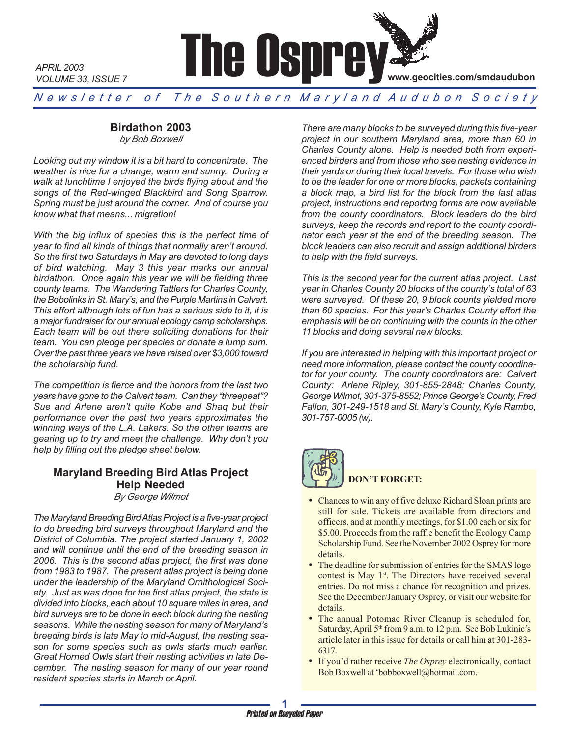

*N e w s l e t t e r o f T h e S o u t h e r n M a r y l a n d A u d u b o n S o c i e t y*

# **Birdathon 2003**

*APRIL 2003*

*by Bob Boxwell*

*Looking out my window it is a bit hard to concentrate. The weather is nice for a change, warm and sunny. During a walk at lunchtime I enjoyed the birds flying about and the songs of the Red-winged Blackbird and Song Sparrow. Spring must be just around the corner. And of course you know what that means... migration!*

*With the big influx of species this is the perfect time of year to find all kinds of things that normally aren't around. So the first two Saturdays in May are devoted to long days of bird watching. May 3 this year marks our annual birdathon. Once again this year we will be fielding three county teams. The Wandering Tattlers for Charles County, the Bobolinks in St. Mary's, and the Purple Martins in Calvert. This effort although lots of fun has a serious side to it, it is a major fundraiser for our annual ecology camp scholarships. Each team will be out there soliciting donations for their team. You can pledge per species or donate a lump sum. Over the past three years we have raised over \$3,000 toward the scholarship fund.*

*The competition is fierce and the honors from the last two years have gone to the Calvert team. Can they "threepeat"? Sue and Arlene aren't quite Kobe and Shaq but their performance over the past two years approximates the winning ways of the L.A. Lakers. So the other teams are gearing up to try and meet the challenge. Why don't you help by filling out the pledge sheet below.*

#### **Maryland Breeding Bird Atlas Project Help Needed** *By George Wilmot*

*The Maryland Breeding Bird Atlas Project is a five-year project to do breeding bird surveys throughout Maryland and the District of Columbia. The project started January 1, 2002 and will continue until the end of the breeding season in 2006. This is the second atlas project, the first was done from 1983 to 1987. The present atlas project is being done under the leadership of the Maryland Ornithological Society. Just as was done for the first atlas project, the state is divided into blocks, each about 10 square miles in area, and bird surveys are to be done in each block during the nesting seasons. While the nesting season for many of Maryland's breeding birds is late May to mid-August, the nesting season for some species such as owls starts much earlier. Great Horned Owls start their nesting activities in late December. The nesting season for many of our year round resident species starts in March or April.*

*There are many blocks to be surveyed during this five-year project in our southern Maryland area, more than 60 in Charles County alone. Help is needed both from experienced birders and from those who see nesting evidence in their yards or during their local travels. For those who wish to be the leader for one or more blocks, packets containing a block map, a bird list for the block from the last atlas project, instructions and reporting forms are now available from the county coordinators. Block leaders do the bird surveys, keep the records and report to the county coordinator each year at the end of the breeding season. The block leaders can also recruit and assign additional birders to help with the field surveys.*

*This is the second year for the current atlas project. Last year in Charles County 20 blocks of the county's total of 63 were surveyed. Of these 20, 9 block counts yielded more than 60 species. For this year's Charles County effort the emphasis will be on continuing with the counts in the other 11 blocks and doing several new blocks.*

*If you are interested in helping with this important project or need more information, please contact the county coordinator for your county. The county coordinators are: Calvert County: Arlene Ripley, 301-855-2848; Charles County, George Wilmot, 301-375-8552; Prince George's County, Fred Fallon, 301-249-1518 and St. Mary's County, Kyle Rambo, 301-757-0005 (w).*



# **DON'T FORGET:**

- Chances to win any of five deluxe Richard Sloan prints are still for sale. Tickets are available from directors and officers, and at monthly meetings, for \$1.00 each or six for \$5.00. Proceeds from the raffle benefit the Ecology Camp Scholarship Fund. See the November 2002 Osprey for more details.
- The deadline for submission of entries for the SMAS logo contest is May  $1<sup>st</sup>$ . The Directors have received several entries. Do not miss a chance for recognition and prizes. See the December/January Osprey, or visit our website for details.
- The annual Potomac River Cleanup is scheduled for, Saturday, April 5<sup>th</sup> from 9 a.m. to 12 p.m. See Bob Lukinic's article later in this issue for details or call him at 301-283- 6317.
- If you'd rather receive *The Osprey* electronically, contact Bob Boxwell at 'bobboxwell@hotmail.com.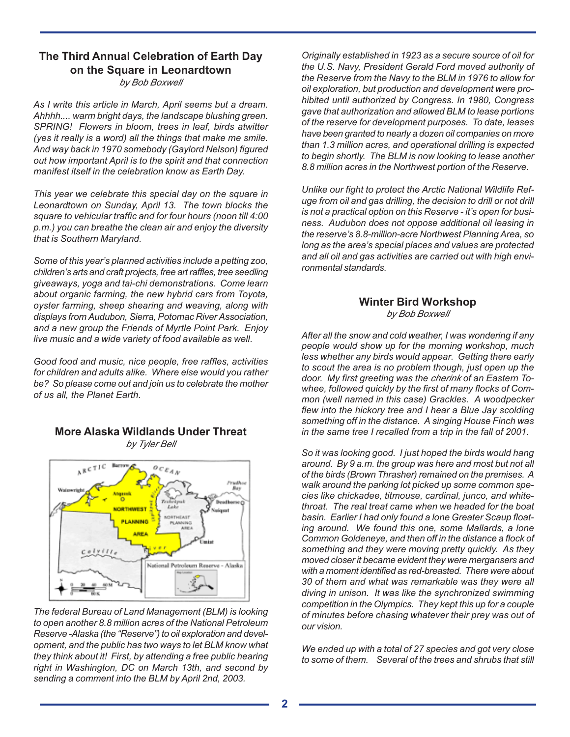### **The Third Annual Celebration of Earth Day on the Square in Leonardtown** *by Bob Boxwell*

*As I write this article in March, April seems but a dream. Ahhhh.... warm bright days, the landscape blushing green. SPRING! Flowers in bloom, trees in leaf, birds atwitter (yes it really is a word) all the things that make me smile. And way back in 1970 somebody (Gaylord Nelson) figured out how important April is to the spirit and that connection manifest itself in the celebration know as Earth Day.*

*This year we celebrate this special day on the square in Leonardtown on Sunday, April 13. The town blocks the square to vehicular traffic and for four hours (noon till 4:00 p.m.) you can breathe the clean air and enjoy the diversity that is Southern Maryland.*

*Some of this year's planned activities include a petting zoo, children's arts and craft projects, free art raffles, tree seedling giveaways, yoga and tai-chi demonstrations. Come learn about organic farming, the new hybrid cars from Toyota, oyster farming, sheep shearing and weaving, along with displays from Audubon, Sierra, Potomac River Association, and a new group the Friends of Myrtle Point Park. Enjoy live music and a wide variety of food available as well.*

*Good food and music, nice people, free raffles, activities for children and adults alike. Where else would you rather be? So please come out and join us to celebrate the mother of us all, the Planet Earth.*



#### **More Alaska Wildlands Under Threat** *by Tyler Bell*

*The federal Bureau of Land Management (BLM) is looking to open another 8.8 million acres of the National Petroleum Reserve -Alaska (the "Reserve") to oil exploration and development, and the public has two ways to let BLM know what they think about it! First, by attending a free public hearing right in Washington, DC on March 13th, and second by sending a comment into the BLM by April 2nd, 2003.*

*Originally established in 1923 as a secure source of oil for the U.S. Navy, President Gerald Ford moved authority of the Reserve from the Navy to the BLM in 1976 to allow for oil exploration, but production and development were prohibited until authorized by Congress. In 1980, Congress gave that authorization and allowed BLM to lease portions of the reserve for development purposes. To date, leases have been granted to nearly a dozen oil companies on more than 1.3 million acres, and operational drilling is expected to begin shortly. The BLM is now looking to lease another 8.8 million acres in the Northwest portion of the Reserve.*

*Unlike our fight to protect the Arctic National Wildlife Refuge from oil and gas drilling, the decision to drill or not drill is not a practical option on this Reserve - it's open for business. Audubon does not oppose additional oil leasing in the reserve's 8.8-million-acre Northwest Planning Area, so long as the area's special places and values are protected and all oil and gas activities are carried out with high environmental standards.*

### **Winter Bird Workshop** *by Bob Boxwell*

*After all the snow and cold weather, I was wondering if any people would show up for the morning workshop, much less whether any birds would appear. Getting there early to scout the area is no problem though, just open up the door. My first greeting was the cherink of an Eastern Towhee, followed quickly by the first of many flocks of Common (well named in this case) Grackles. A woodpecker flew into the hickory tree and I hear a Blue Jay scolding something off in the distance. A singing House Finch was in the same tree I recalled from a trip in the fall of 2001.*

*So it was looking good. I just hoped the birds would hang around. By 9 a.m. the group was here and most but not all of the birds (Brown Thrasher) remained on the premises. A walk around the parking lot picked up some common species like chickadee, titmouse, cardinal, junco, and whitethroat. The real treat came when we headed for the boat basin. Earlier I had only found a lone Greater Scaup floating around. We found this one, some Mallards, a lone Common Goldeneye, and then off in the distance a flock of something and they were moving pretty quickly. As they moved closer it became evident they were mergansers and with a moment identified as red-breasted. There were about 30 of them and what was remarkable was they were all diving in unison. It was like the synchronized swimming competition in the Olympics. They kept this up for a couple of minutes before chasing whatever their prey was out of our vision.*

*We ended up with a total of 27 species and got very close to some of them. Several of the trees and shrubs that still*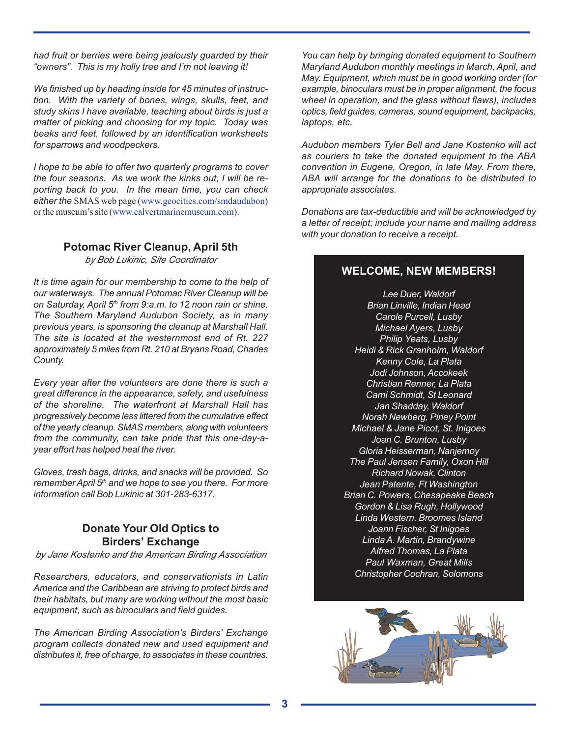*had fruit or berries were being jealously guarded by their "owners". This is my holly tree and I'm not leaving it!*

*We finished up by heading inside for 45 minutes of instruction. With the variety of bones, wings, skulls, feet, and study skins I have available, teaching about birds is just a matter of picking and choosing for my topic. Today was beaks and feet, followed by an identification worksheets for sparrows and woodpeckers.*

*I hope to be able to offer two quarterly programs to cover the four seasons. As we work the kinks out, I will be reporting back to you. In the mean time, you can check either the* SMAS web page (www.geocities.com/smdaudubon) or the museum's site (www.calvertmarinemuseum.com).

#### **Potomac River Cleanup, April 5th**

*by Bob Lukinic, Site Coordinator*

*It is time again for our membership to come to the help of our waterways. The annual Potomac River Cleanup will be on Saturday, April 5th from 9:a.m. to 12 noon rain or shine. The Southern Maryland Audubon Society, as in many previous years, is sponsoring the cleanup at Marshall Hall. The site is located at the westernmost end of Rt. 227 approximately 5 miles from Rt. 210 at Bryans Road, Charles County.*

*Every year after the volunteers are done there is such a great difference in the appearance, safety, and usefulness of the shoreline. The waterfront at Marshall Hall has progressively become less littered from the cumulative effect of the yearly cleanup. SMAS members, along with volunteers from the community, can take pride that this one-day-ayear effort has helped heal the river.*

*Gloves, trash bags, drinks, and snacks will be provided. So remember April 5th and we hope to see you there. For more information call Bob Lukinic at 301-283-6317.*

# **Donate Your Old Optics to Birders' Exchange**

*by Jane Kostenko and the American Birding Association*

*Researchers, educators, and conservationists in Latin America and the Caribbean are striving to protect birds and their habitats, but many are working without the most basic equipment, such as binoculars and field guides.*

*The American Birding Association's Birders' Exchange program collects donated new and used equipment and distributes it, free of charge, to associates in these countries.*

*You can help by bringing donated equipment to Southern Maryland Audubon monthly meetings in March, April, and May. Equipment, which must be in good working order (for example, binoculars must be in proper alignment, the focus wheel in operation, and the glass without flaws), includes optics, field guides, cameras, sound equipment, backpacks, laptops, etc.*

*Audubon members Tyler Bell and Jane Kostenko will act as couriers to take the donated equipment to the ABA convention in Eugene, Oregon, in late May. From there, ABA will arrange for the donations to be distributed to appropriate associates.*

*Donations are tax-deductible and will be acknowledged by a letter of receipt; include your name and mailing address with your donation to receive a receipt.*

# **WELCOME, NEW MEMBERS!**

*Lee Duer, Waldorf Brian Linville, Indian Head Carole Purcell, Lusby Michael Ayers, Lusby Philip Yeats, Lusby Heidi & Rick Granholm, Waldorf Kenny Cole, La Plata Jodi Johnson, Accokeek Christian Renner, La Plata Cami Schmidt, St Leonard Jan Shadday, Waldorf Norah Newberg, Piney Point Michael & Jane Picot, St. Inigoes Joan C. Brunton, Lusby Gloria Heisserman, Nanjemoy The Paul Jensen Family, Oxon Hill Richard Nowak, Clinton Jean Patente, Ft Washington Brian C. Powers, Chesapeake Beach Gordon & Lisa Rugh, Hollywood Linda Western, Broomes Island Joann Fischer, St Inigoes Linda A. Martin, Brandywine Alfred Thomas, La Plata Paul Waxman, Great Mills Christopher Cochran, Solomons*

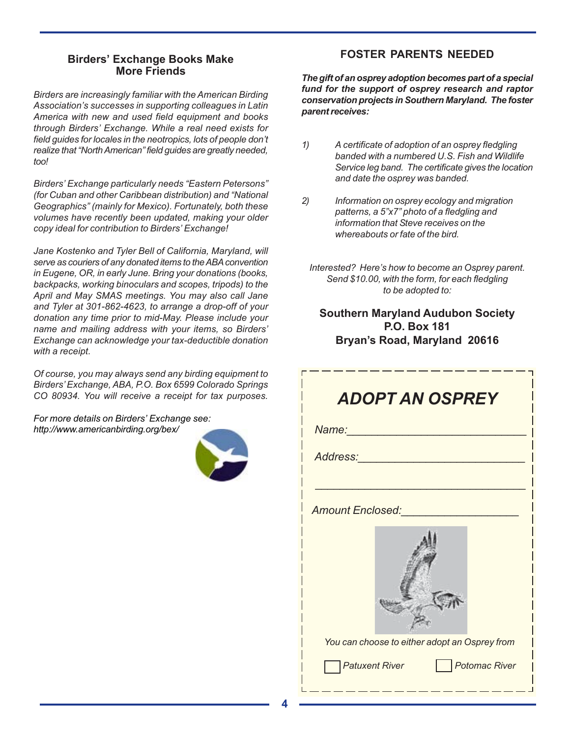# **Birders' Exchange Books Make More Friends**

*Birders are increasingly familiar with the American Birding Association's successes in supporting colleagues in Latin America with new and used field equipment and books through Birders' Exchange. While a real need exists for field guides for locales in the neotropics, lots of people don't realize that "North American" field guides are greatly needed, too!*

*Birders' Exchange particularly needs "Eastern Petersons" (for Cuban and other Caribbean distribution) and "National Geographics" (mainly for Mexico). Fortunately, both these volumes have recently been updated, making your older copy ideal for contribution to Birders' Exchange!*

*Jane Kostenko and Tyler Bell of California, Maryland, will serve as couriers of any donated items to the ABA convention in Eugene, OR, in early June. Bring your donations (books, backpacks, working binoculars and scopes, tripods) to the April and May SMAS meetings. You may also call Jane and Tyler at 301-862-4623, to arrange a drop-off of your donation any time prior to mid-May. Please include your name and mailing address with your items, so Birders' Exchange can acknowledge your tax-deductible donation with a receipt.*

*Of course, you may always send any birding equipment to Birders' Exchange, ABA, P.O. Box 6599 Colorado Springs CO 80934. You will receive a receipt for tax purposes.*

*For more details on Birders' Exchange see: http://www.americanbirding.org/bex/*



# **FOSTER PARENTS NEEDED**

*The gift of an osprey adoption becomes part of a special fund for the support of osprey research and raptor conservation projects in Southern Maryland. The foster parent receives:*

- *1) A certificate of adoption of an osprey fledgling banded with a numbered U.S. Fish and Wildlife Service leg band. The certificate gives the location and date the osprey was banded.*
- *2) Information on osprey ecology and migration patterns, a 5"x7" photo of a fledgling and information that Steve receives on the whereabouts or fate of the bird.*
	- *Interested? Here's how to become an Osprey parent. Send \$10.00, with the form, for each fledgling to be adopted to:*

# **Southern Maryland Audubon Society P.O. Box 181 Bryan's Road, Maryland 20616**

| <b>ADOPT AN OSPREY</b>  |  |                                               |  |  |  |
|-------------------------|--|-----------------------------------------------|--|--|--|
| Name:                   |  |                                               |  |  |  |
| Address:                |  |                                               |  |  |  |
|                         |  |                                               |  |  |  |
| <b>Amount Enclosed:</b> |  |                                               |  |  |  |
|                         |  |                                               |  |  |  |
|                         |  | You can choose to either adopt an Osprey from |  |  |  |
| <b>Patuxent River</b>   |  | Potomac River                                 |  |  |  |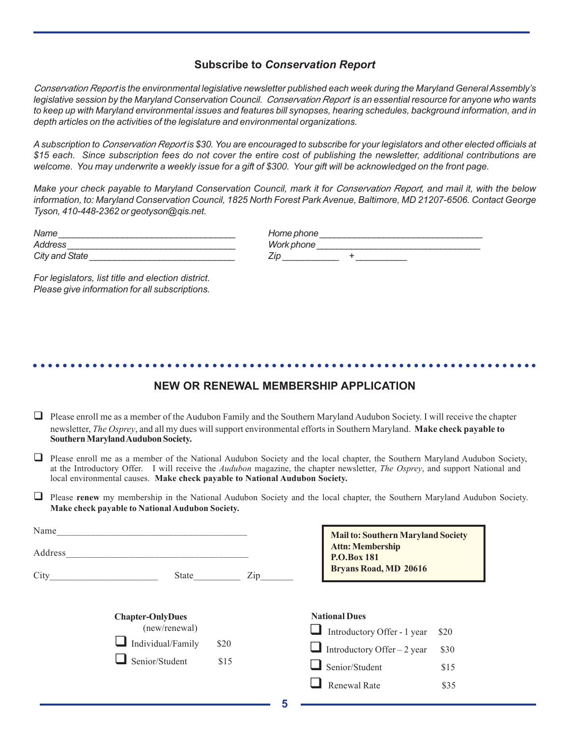### **Subscribe to** *Conservation Report*

*Conservation Report is the environmental legislative newsletter published each week during the Maryland General Assembly's legislative session by the Maryland Conservation Council. Conservation Report is an essential resource for anyone who wants to keep up with Maryland environmental issues and features bill synopses, hearing schedules, background information, and in depth articles on the activities of the legislature and environmental organizations.*

*A subscription to Conservation Report is \$30. You are encouraged to subscribe for your legislators and other elected officials at \$15 each. Since subscription fees do not cover the entire cost of publishing the newsletter, additional contributions are welcome. You may underwrite a weekly issue for a gift of \$300. Your gift will be acknowledged on the front page.*

*Make your check payable to Maryland Conservation Council, mark it for Conservation Report, and mail it, with the below information, to: Maryland Conservation Council, 1825 North Forest Park Avenue, Baltimore, MD 21207-6506. Contact George Tyson, 410-448-2362 or geotyson@qis.net.*

| Name                     | Home phone |
|--------------------------|------------|
| <i><b>\ddress</b></i>    | Work phone |
| <b>State</b><br>City and | Zir        |

| Home phone |  |
|------------|--|
| Work phone |  |
| Zip        |  |

*For legislators, list title and election district. Please give information for all subscriptions.*

### **NEW OR RENEWAL MEMBERSHIP APPLICATION**

○○○○○○○○○○○○○○○○○○○○○○○○○○○○○○○○○○○○○○○○○○○○○ ○○○○○○○○○○○○○○○○○○○○○○○

- $\Box$  Please enroll me as a member of the Audubon Family and the Southern Maryland Audubon Society. I will receive the chapter newsletter, *The Osprey*, and all my dues will support environmental efforts in Southern Maryland. **Make check payable to Southern Maryland Audubon Society.**
- $\Box$  Please enroll me as a member of the National Audubon Society and the local chapter, the Southern Maryland Audubon Society, at the Introductory Offer.I will receive the *Audubon* magazine, the chapter newsletter, *The Osprey*, and support National and local environmental causes. **Make check payable to National Audubon Society.**
- **Please renew** my membership in the National Audubon Society and the local chapter, the Southern Maryland Audubon Society. **Make check payable to National Audubon Society.**

| Name<br>Address |                         |      | <b>Attn: Membership</b><br><b>P.O.Box 181</b> | <b>Mail to: Southern Maryland Society</b> |  |
|-----------------|-------------------------|------|-----------------------------------------------|-------------------------------------------|--|
| City            | State                   | Zip  | <b>Bryans Road, MD 20616</b>                  |                                           |  |
|                 | <b>Chapter-OnlyDues</b> |      | <b>National Dues</b>                          |                                           |  |
|                 | (new/renewal)           |      | Introductory Offer - 1 year                   | \$20                                      |  |
|                 | Individual/Family       | \$20 | Introductory Offer – 2 year                   | \$30                                      |  |
|                 | Senior/Student          | \$15 | Senior/Student                                | \$15                                      |  |
|                 |                         |      | Renewal Rate                                  | \$35                                      |  |